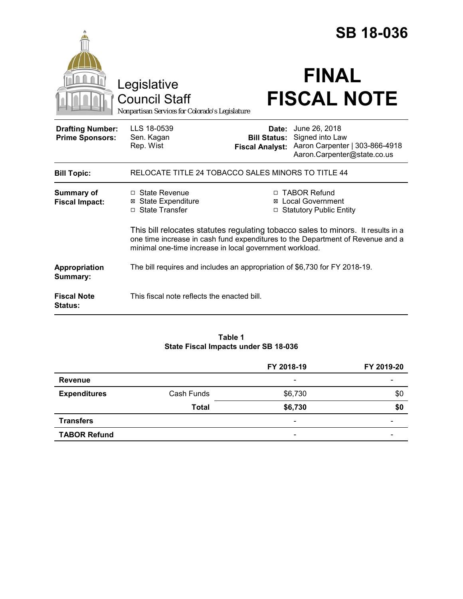|                                                   |                                                                                                                                                                                                                               |                                                        | <b>SB 18-036</b>                                                                                  |  |
|---------------------------------------------------|-------------------------------------------------------------------------------------------------------------------------------------------------------------------------------------------------------------------------------|--------------------------------------------------------|---------------------------------------------------------------------------------------------------|--|
|                                                   | Legislative<br><b>Council Staff</b><br>Nonpartisan Services for Colorado's Legislature                                                                                                                                        |                                                        | <b>FINAL</b><br><b>FISCAL NOTE</b>                                                                |  |
| <b>Drafting Number:</b><br><b>Prime Sponsors:</b> | LLS 18-0539<br>Sen. Kagan<br>Rep. Wist                                                                                                                                                                                        | Date:<br><b>Bill Status:</b><br><b>Fiscal Analyst:</b> | June 26, 2018<br>Signed into Law<br>Aaron Carpenter   303-866-4918<br>Aaron.Carpenter@state.co.us |  |
| <b>Bill Topic:</b>                                | RELOCATE TITLE 24 TOBACCO SALES MINORS TO TITLE 44                                                                                                                                                                            |                                                        |                                                                                                   |  |
| <b>Summary of</b><br><b>Fiscal Impact:</b>        | □ State Revenue<br>⊠ State Expenditure<br>□ State Transfer                                                                                                                                                                    | $\Box$                                                 | □ TABOR Refund<br><b>⊠</b> Local Government<br><b>Statutory Public Entity</b>                     |  |
|                                                   | This bill relocates statutes regulating tobacco sales to minors. It results in a<br>one time increase in cash fund expenditures to the Department of Revenue and a<br>minimal one-time increase in local government workload. |                                                        |                                                                                                   |  |
| Appropriation<br>Summary:                         | The bill requires and includes an appropriation of \$6,730 for FY 2018-19.                                                                                                                                                    |                                                        |                                                                                                   |  |
| <b>Fiscal Note</b><br><b>Status:</b>              | This fiscal note reflects the enacted bill.                                                                                                                                                                                   |                                                        |                                                                                                   |  |

# **Table 1 State Fiscal Impacts under SB 18-036**

|                     |              | FY 2018-19               | FY 2019-20               |
|---------------------|--------------|--------------------------|--------------------------|
| <b>Revenue</b>      |              | $\overline{\phantom{a}}$ |                          |
| <b>Expenditures</b> | Cash Funds   | \$6,730                  | \$0                      |
|                     | <b>Total</b> | \$6,730                  | \$0                      |
| <b>Transfers</b>    |              | $\overline{\phantom{a}}$ | $\overline{\phantom{0}}$ |
| <b>TABOR Refund</b> |              | $\overline{\phantom{a}}$ | $\overline{\phantom{0}}$ |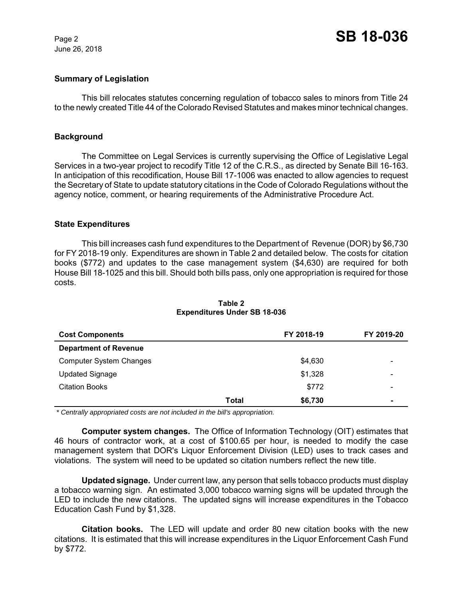June 26, 2018

## **Summary of Legislation**

This bill relocates statutes concerning regulation of tobacco sales to minors from Title 24 to the newly created Title 44 of the Colorado Revised Statutes and makes minor technical changes.

### **Background**

The Committee on Legal Services is currently supervising the Office of Legislative Legal Services in a two-year project to recodify Title 12 of the C.R.S., as directed by Senate Bill 16-163. In anticipation of this recodification, House Bill 17-1006 was enacted to allow agencies to request the Secretary of State to update statutory citations in the Code of Colorado Regulations without the agency notice, comment, or hearing requirements of the Administrative Procedure Act.

### **State Expenditures**

This bill increases cash fund expenditures to the Department of Revenue (DOR) by \$6,730 for FY 2018-19 only. Expenditures are shown in Table 2 and detailed below. The costs for citation books (\$772) and updates to the case management system (\$4,630) are required for both House Bill 18-1025 and this bill. Should both bills pass, only one appropriation is required for those costs.

| <b>Cost Components</b>         |       | FY 2018-19 | FY 2019-20               |
|--------------------------------|-------|------------|--------------------------|
| <b>Department of Revenue</b>   |       |            |                          |
| <b>Computer System Changes</b> |       | \$4,630    | $\overline{\phantom{0}}$ |
| <b>Updated Signage</b>         |       | \$1,328    | $\overline{\phantom{0}}$ |
| <b>Citation Books</b>          |       | \$772      | $\overline{\phantom{0}}$ |
|                                | Total | \$6,730    | $\blacksquare$           |

## **Table 2 Expenditures Under SB 18-036**

 *\* Centrally appropriated costs are not included in the bill's appropriation.*

**Computer system changes.** The Office of Information Technology (OIT) estimates that 46 hours of contractor work, at a cost of \$100.65 per hour, is needed to modify the case management system that DOR's Liquor Enforcement Division (LED) uses to track cases and violations. The system will need to be updated so citation numbers reflect the new title.

**Updated signage.** Under current law, any person that sells tobacco products must display a tobacco warning sign. An estimated 3,000 tobacco warning signs will be updated through the LED to include the new citations. The updated signs will increase expenditures in the Tobacco Education Cash Fund by \$1,328.

**Citation books.** The LED will update and order 80 new citation books with the new citations. It is estimated that this will increase expenditures in the Liquor Enforcement Cash Fund by \$772.